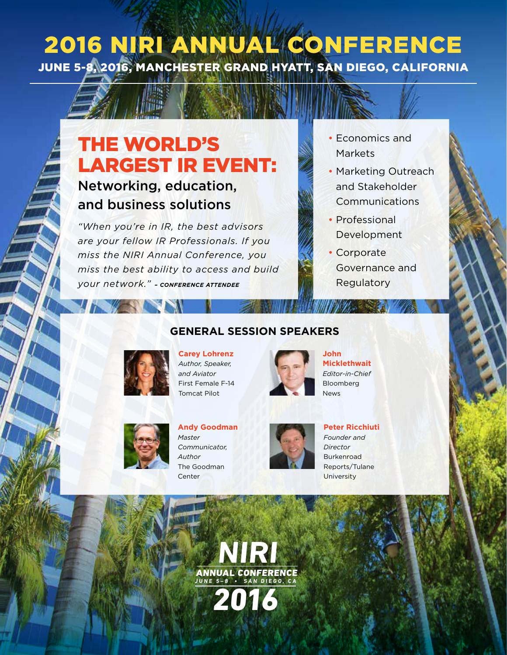## 2016 NIRI ANNUAL CONFERENCE JUNE 5-8, 2016, MANCHESTER GRAND HYATT, SAN DIEGO, CALIFORNIA

# THE WORLD'S LARGEST IR EVENT:

### Networking, education, and business solutions

*"When you're in IR, the best advisors are your fellow IR Professionals. If you miss the NIRI Annual Conference, you miss the best ability to access and build your network." – CONFERENCE ATTENDEE*

- Economics and Markets
- Marketing Outreach and Stakeholder Communications
- Professional Development
- Corporate Governance and **Regulatory**



**Carey Lohrenz** *Author, Speaker, and Aviator* First Female F-14 Tomcat Pilot



**GENERAL SESSION SPEAKERS**

**John Micklethwait** *Editor-in-Chief* Bloomberg News



**JUNE 5–8 • SAN DIEGO , C A**

2016

**Andy Goodman** *Master Communicator, Author* The Goodman Center



**Peter Ricchiuti** *Founder and Director* **Burkenroad** Reports/Tulane **University**